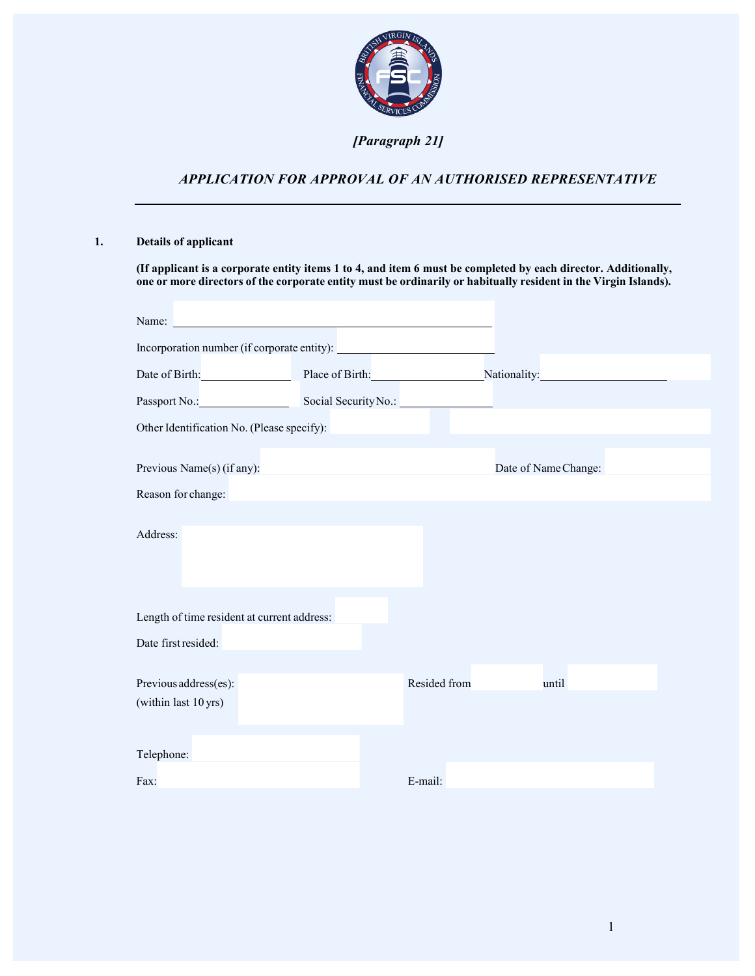

## *[Paragraph 21]*

# *APPLICATION FOR APPROVAL OF AN AUTHORISED REPRESENTATIVE*

## **1. Details of applicant**

**(If applicant is a corporate entity items 1 to 4, and item 6 must be completed by each director. Additionally,** one or more directors of the corporate entity must be ordinarily or habitually resident in the Virgin Islands).

| Name:                                         |              |                                                          |  |
|-----------------------------------------------|--------------|----------------------------------------------------------|--|
|                                               |              |                                                          |  |
|                                               |              | Date of Birth: Place of Birth: Nationality: Nationality: |  |
| Passport No.: Social Security No.:            |              |                                                          |  |
| Other Identification No. (Please specify):    |              |                                                          |  |
|                                               |              |                                                          |  |
| Previous Name(s) (if any):                    |              | Date of Name Change:                                     |  |
| Reason for change:                            |              |                                                          |  |
|                                               |              |                                                          |  |
| Address:                                      |              |                                                          |  |
|                                               |              |                                                          |  |
|                                               |              |                                                          |  |
| Length of time resident at current address:   |              |                                                          |  |
|                                               |              |                                                          |  |
| Date first resided:                           |              |                                                          |  |
|                                               |              |                                                          |  |
| Previous address(es):<br>(within last 10 yrs) | Resided from | until                                                    |  |
|                                               |              |                                                          |  |
|                                               |              |                                                          |  |
| Telephone:                                    |              |                                                          |  |
| Fax:                                          | E-mail:      |                                                          |  |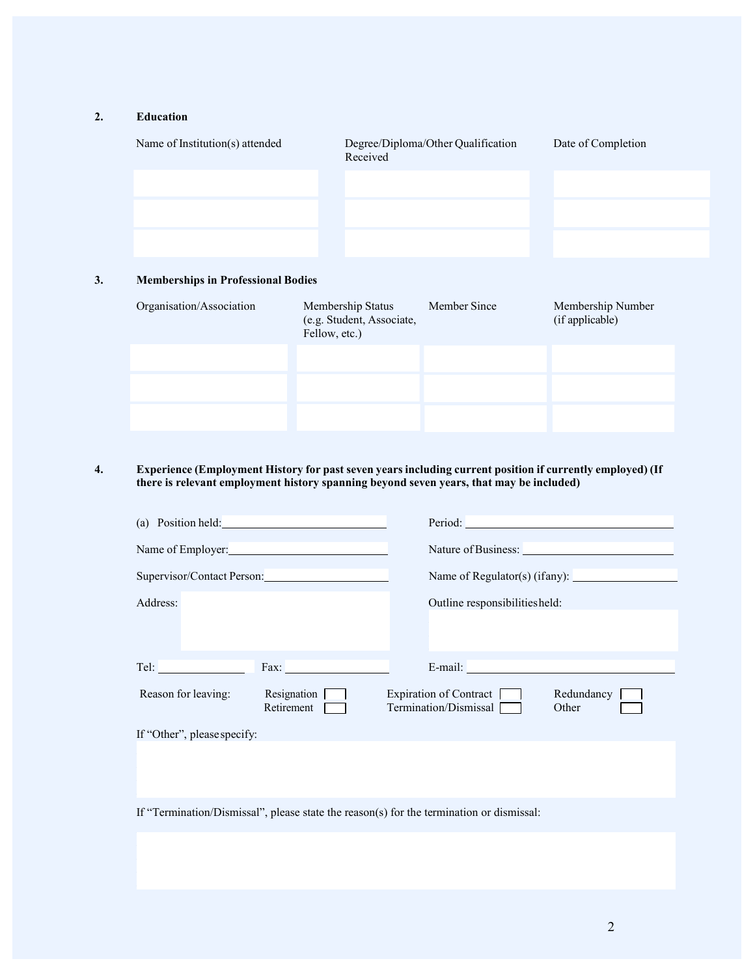## **2. Education**

| Name of Institution(s) attended           |               | Received                                       | Degree/Diploma/Other Qualification | Date of Completion                   |  |
|-------------------------------------------|---------------|------------------------------------------------|------------------------------------|--------------------------------------|--|
|                                           |               |                                                |                                    |                                      |  |
|                                           |               |                                                |                                    |                                      |  |
|                                           |               |                                                |                                    |                                      |  |
|                                           |               |                                                |                                    |                                      |  |
| <b>Memberships in Professional Bodies</b> |               |                                                |                                    |                                      |  |
| Organisation/Association                  | Fellow, etc.) | Membership Status<br>(e.g. Student, Associate, | Member Since                       | Membership Number<br>(if applicable) |  |
|                                           |               |                                                |                                    |                                      |  |
|                                           |               |                                                |                                    |                                      |  |

### **4. Experience (Employment History for past seven years including current position if currently employed) (If there is relevant employment history spanning beyond seven years, that may be included)**

| (a) Position held:          |                            | Period:                                                                  |
|-----------------------------|----------------------------|--------------------------------------------------------------------------|
| Name of Employer:           |                            | Nature of Business:                                                      |
|                             | Supervisor/Contact Person: | Name of Regulator(s) (if any): $\sqrt{\frac{2}{\pi}}$                    |
| Address:                    |                            | Outline responsibilities held:                                           |
|                             |                            |                                                                          |
|                             |                            |                                                                          |
| Tel:                        | Fax:                       | E-mail:                                                                  |
| Reason for leaving:         | Resignation<br>Retirement  | Expiration of Contract  <br>Redundancy<br>Termination/Dismissal<br>Other |
| If "Other", please specify: |                            |                                                                          |

If "Termination/Dismissal", please state the reason(s) for the termination or dismissal: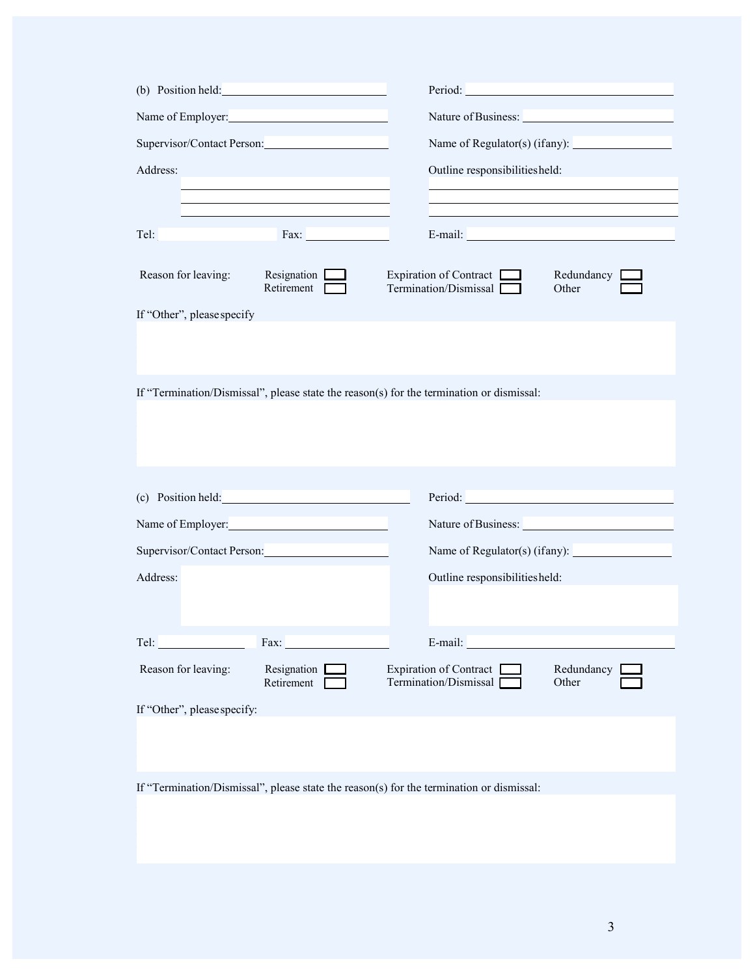| (b) Position held:                                                                                                                                                                                                             |                             | Period: The contract of the contract of the contract of the contract of the contract of the contract of the contract of the contract of the contract of the contract of the contract of the contract of the contract of the co |
|--------------------------------------------------------------------------------------------------------------------------------------------------------------------------------------------------------------------------------|-----------------------------|--------------------------------------------------------------------------------------------------------------------------------------------------------------------------------------------------------------------------------|
| Name of Employer:                                                                                                                                                                                                              |                             | Nature of Business:                                                                                                                                                                                                            |
| Supervisor/Contact Person:                                                                                                                                                                                                     |                             | Name of Regulator(s) (ifany):                                                                                                                                                                                                  |
| Address:                                                                                                                                                                                                                       |                             | Outline responsibilities held:                                                                                                                                                                                                 |
|                                                                                                                                                                                                                                |                             |                                                                                                                                                                                                                                |
| Tel:                                                                                                                                                                                                                           | Fax:                        | E-mail:                                                                                                                                                                                                                        |
|                                                                                                                                                                                                                                |                             |                                                                                                                                                                                                                                |
| Reason for leaving:                                                                                                                                                                                                            | Resignation<br>Retirement [ | Expiration of Contract<br>Redundancy<br>Termination/Dismissal<br>Other                                                                                                                                                         |
| If "Other", please specify                                                                                                                                                                                                     |                             |                                                                                                                                                                                                                                |
|                                                                                                                                                                                                                                |                             |                                                                                                                                                                                                                                |
|                                                                                                                                                                                                                                |                             |                                                                                                                                                                                                                                |
|                                                                                                                                                                                                                                |                             | If "Termination/Dismissal", please state the reason(s) for the termination or dismissal:                                                                                                                                       |
|                                                                                                                                                                                                                                |                             |                                                                                                                                                                                                                                |
|                                                                                                                                                                                                                                |                             |                                                                                                                                                                                                                                |
|                                                                                                                                                                                                                                |                             |                                                                                                                                                                                                                                |
|                                                                                                                                                                                                                                | (c) Position held:          | Period:                                                                                                                                                                                                                        |
|                                                                                                                                                                                                                                | Name of Employer:           |                                                                                                                                                                                                                                |
|                                                                                                                                                                                                                                | Supervisor/Contact Person:  |                                                                                                                                                                                                                                |
| Address:                                                                                                                                                                                                                       |                             | Outline responsibilities held:                                                                                                                                                                                                 |
|                                                                                                                                                                                                                                |                             |                                                                                                                                                                                                                                |
|                                                                                                                                                                                                                                |                             |                                                                                                                                                                                                                                |
| Tel: The Telectrical Contractor Contractor Contractor Contractor Contractor Contractor Contractor Contractor Contractor Contractor Contractor Contractor Contractor Contractor Contractor Contractor Contractor Contractor Con | Fax:                        | E-mail:                                                                                                                                                                                                                        |
| Reason for leaving:                                                                                                                                                                                                            | Resignation [<br>Retirement | Expiration of Contract [<br>Redundancy<br>Termination/Dismissal<br>Other                                                                                                                                                       |
| If "Other", please specify:                                                                                                                                                                                                    |                             |                                                                                                                                                                                                                                |
|                                                                                                                                                                                                                                |                             |                                                                                                                                                                                                                                |

If "Termination/Dismissal", please state the reason(s) for the termination or dismissal: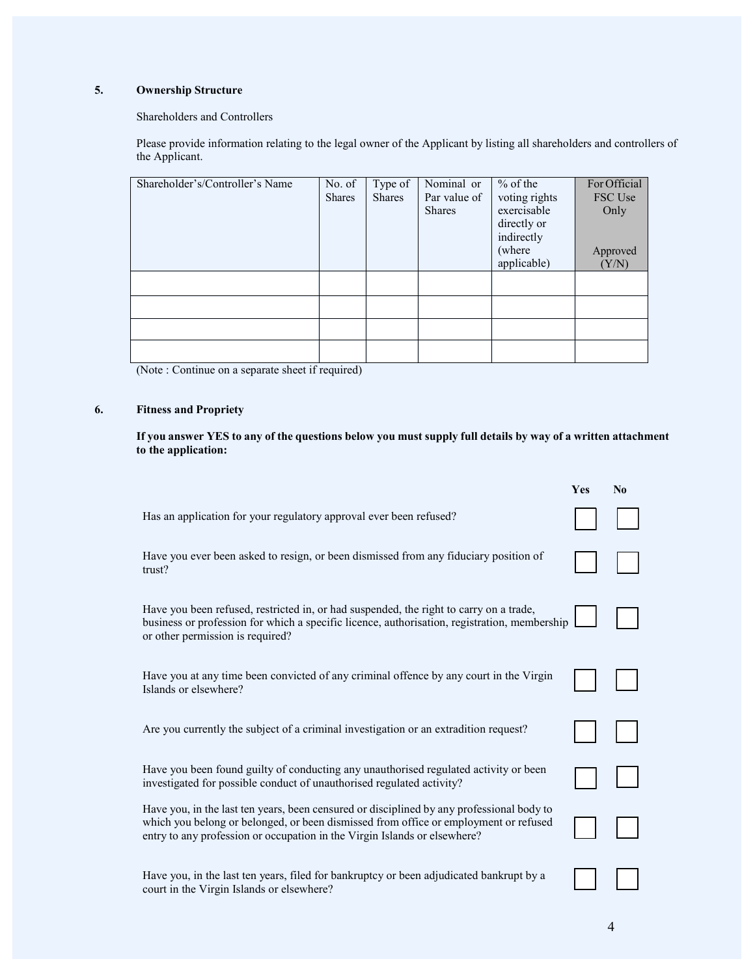## **5. Ownership Structure**

### Shareholders and Controllers

Please provide information relating to the legal owner of the Applicant by listing all shareholders and controllers of the Applicant.

| Shareholder's/Controller's Name | No. of        | Type of       | Nominal or    | $%$ of the    | For Official |
|---------------------------------|---------------|---------------|---------------|---------------|--------------|
|                                 | <b>Shares</b> | <b>Shares</b> | Par value of  | voting rights | FSC Use      |
|                                 |               |               | <b>Shares</b> | exercisable   | Only         |
|                                 |               |               |               | directly or   |              |
|                                 |               |               |               | indirectly    |              |
|                                 |               |               |               | (where        | Approved     |
|                                 |               |               |               | applicable)   | (Y/N)        |
|                                 |               |               |               |               |              |
|                                 |               |               |               |               |              |
|                                 |               |               |               |               |              |
|                                 |               |               |               |               |              |
|                                 |               |               |               |               |              |

(Note : Continue on a separate sheet if required)

## **6. Fitness and Propriety**

If you answer YES to any of the questions below you must supply full details by way of a written attachment **to the application:**

|                                                                                                                                                                                                                                                                | Yes | $\mathbf{N_0}$ |
|----------------------------------------------------------------------------------------------------------------------------------------------------------------------------------------------------------------------------------------------------------------|-----|----------------|
| Has an application for your regulatory approval ever been refused?                                                                                                                                                                                             |     |                |
| Have you ever been asked to resign, or been dismissed from any fiduciary position of<br>trust?                                                                                                                                                                 |     |                |
| Have you been refused, restricted in, or had suspended, the right to carry on a trade,<br>business or profession for which a specific licence, authorisation, registration, membership<br>or other permission is required?                                     |     |                |
| Have you at any time been convicted of any criminal offence by any court in the Virgin<br>Islands or elsewhere?                                                                                                                                                |     |                |
| Are you currently the subject of a criminal investigation or an extradition request?                                                                                                                                                                           |     |                |
| Have you been found guilty of conducting any unauthorised regulated activity or been<br>investigated for possible conduct of unauthorised regulated activity?                                                                                                  |     |                |
| Have you, in the last ten years, been censured or disciplined by any professional body to<br>which you belong or belonged, or been dismissed from office or employment or refused<br>entry to any profession or occupation in the Virgin Islands or elsewhere? |     |                |
| Have you, in the last ten years, filed for bankruptcy or been adjudicated bankrupt by a<br>court in the Virgin Islands or elsewhere?                                                                                                                           |     |                |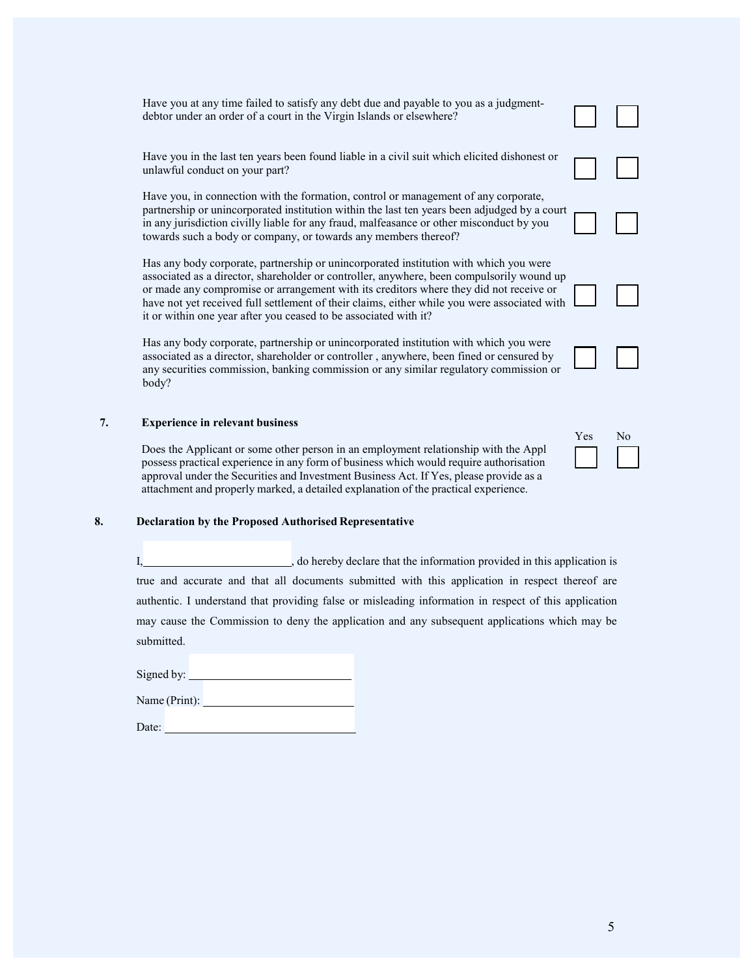Have you at any time failed to satisfy any debt due and payable to you as a judgmentdebtor under an order of a court in the Virgin Islands or elsewhere?

Have you in the last ten years been found liable in a civil suit which elicited dishonest or unlawful conduct on your part?

Have you, in connection with the formation, control or management of any corporate, partnership or unincorporated institution within the last ten years been adjudged by a court in any jurisdiction civilly liable for any fraud, malfeasance or other misconduct by you towards such a body or company, or towards any members thereof?

Has any body corporate, partnership or unincorporated institution with which you were associated as a director, shareholder or controller, anywhere, been compulsorily wound up or made any compromise or arrangement with its creditors where they did not receive or have not yet received full settlement of their claims, either while you were associated with it or within one year after you ceased to be associated with it?

Has any body corporate, partnership or unincorporated institution with which you were associated as a director, shareholder or controller , anywhere, been fined or censured by any securities commission, banking commission or any similar regulatory commission or body?

#### **7. Experience in relevant business**

Does the Applicant or some other person in an employment relationship with the Appl possess practical experience in any form of business which would require authorisation approval under the Securities and Investment Business Act. If Yes, please provide as a attachment and properly marked, a detailed explanation of the practical experience.

#### **8. Declaration by the Proposed Authorised Representative**

I,  $\blacksquare$ , do hereby declare that the information provided in this application is true and accurate and that all documents submitted with this application in respect thereof are authentic. I understand that providing false or misleading information in respect of this application may cause the Commission to deny the application and any subsequent applications which may be submitted.

Signed by:

Name (Print):

Date:







| Yes | Īо |
|-----|----|
|     |    |